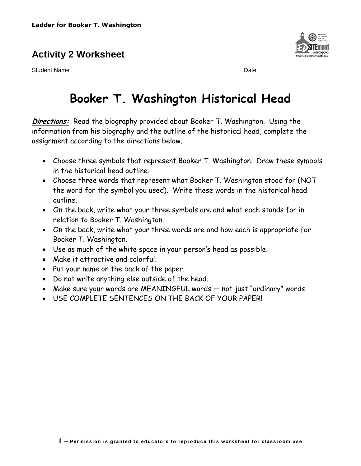## **Activity 2 Worksheet**

Student Name \_\_\_\_\_\_\_\_\_\_\_\_\_\_\_\_\_\_\_\_\_\_\_\_\_\_\_\_\_\_\_\_\_\_\_\_\_\_\_\_\_\_\_\_\_\_\_\_\_\_\_\_Date\_\_\_\_\_\_\_\_\_\_\_\_\_\_\_\_\_\_\_

## **Booker T. Washington Historical Head**

**Directions:** Read the biography provided about Booker T. Washington. Using the information from his biography and the outline of the historical head, complete the assignment according to the directions below.

- Choose three symbols that represent Booker T. Washington. Draw these symbols in the historical head outline.
- Choose three words that represent what Booker T. Washington stood for (NOT the word for the symbol you used). Write these words in the historical head outline.
- On the back, write what your three symbols are and what each stands for in relation to Booker T. Washington.
- On the back, write what your three words are and how each is appropriate for Booker T. Washington.
- Use as much of the white space in your person's head as possible.
- Make it attractive and colorful.
- Put your name on the back of the paper.
- Do not write anything else outside of the head.
- Make sure your words are MEANINGFUL words not just "ordinary" words.
- USE COMPLETE SENTENCES ON THE BACK OF YOUR PAPER!